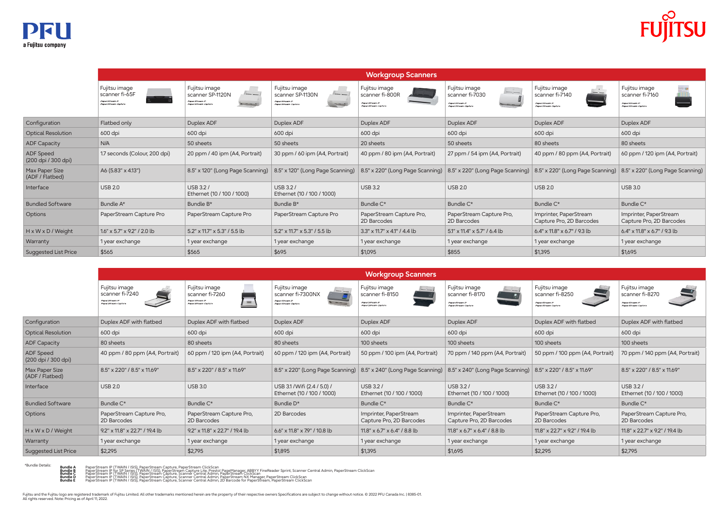**Bundle B Bundle C Bundle D Bundle E** PaperStream IP (TWAIN / ISIS), PaperStream Capture, PaperStream ClickScan<br>PaperStream IP (tr SP Series (TWAIN / ISIS), PaperStream Capture Lite, Presto! PageManager, ABBYY FineReader Sprint, Scanner Central Admin, PaperStr



|                                         | <b>Workgroup Scanners</b>                                                 |                                                                                           |                                                                             |                                                                                              |                                                                                    |                                                                           |                                                                           |
|-----------------------------------------|---------------------------------------------------------------------------|-------------------------------------------------------------------------------------------|-----------------------------------------------------------------------------|----------------------------------------------------------------------------------------------|------------------------------------------------------------------------------------|---------------------------------------------------------------------------|---------------------------------------------------------------------------|
|                                         | Fujitsu image<br>scanner fi-7240<br>PaperStream IP<br>PaperStream Capture | Fujitsu image<br>scanner fi-7260<br>PaperStream IP<br><b>Sept.</b><br>PaperStream Capture | Fujitsu image<br>scanner fi-7300NX<br>PaperStream IP<br>PaperStream Capture | Fujitsu image<br>$\leftarrow -1$<br>scanner fi-8150<br>PaperStream IP<br>PaperStream Capture | Fujitsu image<br>$-/-$<br>scanner fi-8170<br>PaperStream IP<br>PaperStream Capture | Fujitsu image<br>scanner fi-8250<br>PaperStream IP<br>PaperStream Capture | Fujitsu image<br>scanner fi-8270<br>PaperStream IP<br>PaperStream Capture |
| Configuration                           | Duplex ADF with flatbed                                                   | Duplex ADF with flatbed                                                                   | Duplex ADF                                                                  | Duplex ADF                                                                                   | Duplex ADF                                                                         | Duplex ADF with flatbed                                                   | Duplex ADF with flatbed                                                   |
| <b>Optical Resolution</b>               | 600 dpi                                                                   | 600 dpi                                                                                   | 600 dpi                                                                     | 600 dpi                                                                                      | 600 dpi                                                                            | 600 dpi                                                                   | 600 dpi                                                                   |
| <b>ADF Capacity</b>                     | 80 sheets                                                                 | 80 sheets                                                                                 | 80 sheets                                                                   | 100 sheets                                                                                   | 100 sheets                                                                         | 100 sheets                                                                | 100 sheets                                                                |
| <b>ADF</b> Speed<br>(200 dpi / 300 dpi) | 40 ppm / 80 ppm (A4, Portrait)                                            | 60 ppm / 120 ipm (A4, Portrait)                                                           | 60 ppm / 120 ipm (A4, Portrait)                                             | 50 ppm / 100 ipm (A4, Portrait)                                                              | 70 ppm / 140 ppm (A4, Portrait)                                                    | 50 ppm / 100 ppm (A4, Portrait)                                           | 70 ppm / 140 ppm (A4, Portrait)                                           |
| Max Paper Size<br>(ADF / Flatbed)       | 8.5" x 220" / 8.5" x 11.69"                                               | 8.5" x 220" / 8.5" x 11.69"                                                               | 8.5" x 220" (Long Page Scanning)                                            | 8.5" x 240" (Long Page Scanning)                                                             | 8.5" x 240" (Long Page Scanning)                                                   | 8.5" x 220" / 8.5" x 11.69"                                               | 8.5" x 220" / 8.5" x 11.69"                                               |
| Interface                               | <b>USB 2.0</b>                                                            | <b>USB 3.0</b>                                                                            | USB 3.1 / Wifi (2.4 / 5.0) /<br>Ethernet (10 / 100 / 1000)                  | USB 3.2 /<br>Ethernet (10 / 100 / 1000)                                                      | USB 3.2 /<br>Ethernet (10 / 100 / 1000)                                            | USB 3.2 /<br>Ethernet (10 / 100 / 1000)                                   | USB 3.2 /<br>Ethernet (10 / 100 / 1000)                                   |
| <b>Bundled Software</b>                 | Bundle C*                                                                 | Bundle C*                                                                                 | Bundle D <sup>*</sup>                                                       | Bundle C*                                                                                    | Bundle C*                                                                          | Bundle C*                                                                 | Bundle C*                                                                 |
| <b>Options</b>                          | PaperStream Capture Pro,<br>2D Barcodes                                   | PaperStream Capture Pro,<br>2D Barcodes                                                   | 2D Barcodes                                                                 | Imprinter, PaperStream<br>Capture Pro, 2D Barcodes                                           | Imprinter, PaperStream<br>Capture Pro, 2D Barcodes                                 | PaperStream Capture Pro,<br>2D Barcodes                                   | PaperStream Capture Pro,<br>2D Barcodes                                   |
| H x W x D / Weight                      | 9.2" x 11.8" x 22.7" / 19.4 lb                                            | 9.2" x 11.8" x 22.7" / 19.4 lb                                                            | 6.6" x 11.8" x 7.9" / 10.8 lb                                               | 11.8" x 6.7" x 6.4" / 8.8 lb                                                                 | $11.8'' \times 6.7'' \times 6.4'' / 8.8$ lb                                        | 11.8" x 22.7" x 9.2" / 19.4 lb                                            | 11.8" x 22.7" x 9.2" / 19.4 lb                                            |
| Warranty                                | 1 year exchange                                                           | 1 year exchange                                                                           | 1 year exchange                                                             | 1 year exchange                                                                              | 1 year exchange                                                                    | 1 year exchange                                                           | 1 year exchange                                                           |
| <b>Suggested List Price</b>             | \$2,295                                                                   | \$2,795                                                                                   | \$1,895                                                                     | \$1,395                                                                                      | \$1,695                                                                            | \$2,295                                                                   | \$2,795                                                                   |

|                                         | <b>Workgroup Scanners</b>                                                |                                                                                                                                                 |                                                                                                                          |                                                                           |                                                                                     |                                                                                                       |                                                                           |
|-----------------------------------------|--------------------------------------------------------------------------|-------------------------------------------------------------------------------------------------------------------------------------------------|--------------------------------------------------------------------------------------------------------------------------|---------------------------------------------------------------------------|-------------------------------------------------------------------------------------|-------------------------------------------------------------------------------------------------------|---------------------------------------------------------------------------|
|                                         | Fujitsu image<br>scanner fi-65F<br>PaperStream IP<br>PaperStream Capture | Fujitsu image<br>$\begin{array}{c} \hline \end{array}$<br>scanner SP-1120N<br>PaperStream IP<br><b>All Communication</b><br>PaperStream Capture | Fujitsu image<br>$\frac{1}{2}$<br>scanner SP-1130N<br>PaperStream IP<br><b>The Communication</b><br>Paper Stream Capture | Fujitsu image<br>scanner fi-800R<br>PaperStream IP<br>PaperStream Capture | Fujitsu image<br>$--,-$<br>scanner fi-7030<br>PaperStream IP<br>PaperStream Capture | $\overline{\phantom{a}}$<br>Fujitsu image<br>scanner fi-7140<br>PaperStream IP<br>PaperStream Capture | Fujitsu image<br>scanner fi-7160<br>PaperStream IP<br>PaperStream Capture |
| Configuration                           | Flatbed only                                                             | Duplex ADF                                                                                                                                      | Duplex ADF                                                                                                               | Duplex ADF                                                                | Duplex ADF                                                                          | Duplex ADF                                                                                            | Duplex ADF                                                                |
| <b>Optical Resolution</b>               | 600 dpi                                                                  | 600 dpi                                                                                                                                         | 600 dpi                                                                                                                  | 600 dpi                                                                   | 600 dpi                                                                             | 600 dpi                                                                                               | 600 dpi                                                                   |
| <b>ADF Capacity</b>                     | N/A                                                                      | 50 sheets                                                                                                                                       | 50 sheets                                                                                                                | 20 sheets                                                                 | 50 sheets                                                                           | 80 sheets                                                                                             | 80 sheets                                                                 |
| <b>ADF</b> Speed<br>(200 dpi / 300 dpi) | 1.7 seconds (Colour, 200 dpi)                                            | 20 ppm / 40 ipm (A4, Portrait)                                                                                                                  | 30 ppm / 60 ipm (A4, Portrait)                                                                                           | 40 ppm / 80 ipm (A4, Portrait)                                            | 27 ppm / 54 ipm (A4, Portrait)                                                      | 40 ppm / 80 ppm (A4, Portrait)                                                                        | 60 ppm / 120 ipm (A4, Portrait)                                           |
| Max Paper Size<br>(ADF / Flatbed)       | A6 (5.83" x 4.13")                                                       | 8.5" x 120" (Long Page Scanning)                                                                                                                | 8.5" x 120" (Long Page Scanning)                                                                                         | 8.5" x 220" (Long Page Scanning)                                          | 8.5" x 220" (Long Page Scanning)                                                    | 8.5" x 220" (Long Page Scanning)                                                                      | 8.5" x 220" (Long Page Scanning)                                          |
| Interface                               | <b>USB 2.0</b>                                                           | <b>USB 3.2/</b><br>Ethernet (10 / 100 / 1000)                                                                                                   | USB 3.2 /<br>Ethernet (10 / 100 / 1000)                                                                                  | <b>USB 3.2</b>                                                            | <b>USB 2.0</b>                                                                      | <b>USB 2.0</b>                                                                                        | <b>USB 3.0</b>                                                            |
| <b>Bundled Software</b>                 | Bundle A*                                                                | Bundle B*                                                                                                                                       | Bundle B*                                                                                                                | Bundle C*                                                                 | Bundle C*                                                                           | Bundle C*                                                                                             | Bundle C*                                                                 |
| <b>Options</b>                          | PaperStream Capture Pro                                                  | PaperStream Capture Pro                                                                                                                         | PaperStream Capture Pro                                                                                                  | PaperStream Capture Pro,<br>2D Barcodes                                   | PaperStream Capture Pro,<br>2D Barcodes                                             | Imprinter, PaperStream<br>Capture Pro, 2D Barcodes                                                    | Imprinter, PaperStream<br>Capture Pro, 2D Barcodes                        |
| H x W x D / Weight                      | $1.6'' \times 5.7'' \times 9.2''$ / 2.0 lb                               | 5.2" x 11.7" x 5.3" / 5.5 lb                                                                                                                    | 5.2" x 11.7" x 5.3" / 5.5 lb                                                                                             | $3.3'' \times 11.7'' \times 4.1''$ / 4.4 lb                               | 5.1" x 11.4" x 5.7" / 6.4 lb                                                        | 6.4" x 11.8" x 6.7" / 9.3 lb                                                                          | $6.4" \times 11.8" \times 6.7" / 9.3 lb$                                  |
| Warranty                                | 1 year exchange                                                          | 1 year exchange                                                                                                                                 | 1 year exchange                                                                                                          | 1 year exchange                                                           | 1 year exchange                                                                     | 1 year exchange                                                                                       | 1 year exchange                                                           |
| <b>Suggested List Price</b>             | \$565                                                                    | \$565                                                                                                                                           | \$695                                                                                                                    | \$1,095                                                                   | \$855                                                                               | \$1,395                                                                                               | \$1,695                                                                   |

\*Bundle Details: **Bundle A**